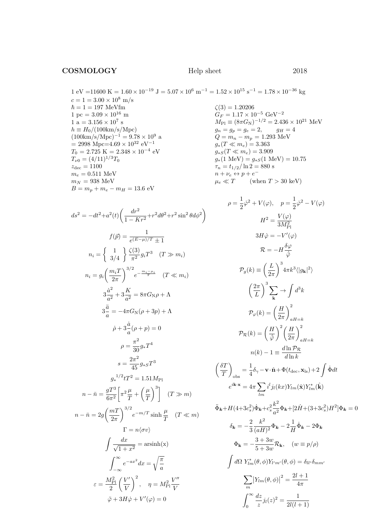$1 \text{ eV} = 11600 \text{ K} = 1.60 \times 10^{-19} \text{ J} = 5.07 \times 10^6 \text{ m}^{-1} = 1.52 \times 10^{15} \text{ s}^{-1} = 1.78 \times 10^{-36} \text{ kg}$  $c = 1 = 3.00 \times 10^8$  m/s  $\hbar = 1 = 197$  MeVfm 1 pc =  $3.09 \times 10^{16}$  m  $1 a = 3.156 \times 10^7 s$  $h \equiv H_0/(100 \text{km/s/Mpc})$  $(100 \text{km/s/Mpc})^{-1} = 9.78 \times 10^9$  a  $=$  2998 Mpc=4.69  $\times\,10^{32}$   $\rm eV^{-1}$  $T_0 = 2.725 \text{ K} = 2.348 \times 10^{-4} \text{ eV}$  $T_{\nu 0} = (4/11)^{1/3} T_0$  $z_\mathrm{dec}=1100$  $m_e = 0.511 \text{ MeV}$  $m_N = 938$  MeV  $B = m_p + m_e - m_H = 13.6$  eV

$$
ds^{2} = -dt^{2} + a^{2}(t) \left( \frac{dr^{2}}{1 - Kr^{2}} + r^{2}d\theta^{2} + r^{2} \sin^{2}\theta d\phi^{2} \right)
$$
  

$$
f(\vec{p}) = \frac{1}{e^{(E-\mu)/T} \pm 1}
$$
  

$$
n_{i} = \begin{cases} 1 & \frac{\zeta(3)}{3/4} \frac{G(3)}{\pi^{2}} g_{i} T^{3} & (T \gg m_{i}) \end{cases}
$$
  

$$
n_{i} = g_{i} \left( \frac{m_{i} T}{2\pi} \right)^{3/2} e^{-\frac{m_{i} - \mu_{i}}{T}} \quad (T \ll m_{i})
$$
  

$$
3\frac{\dot{a}^{2}}{a^{2}} + 3\frac{K}{a^{2}} = 8\pi G_{\text{N}} \rho + \Lambda
$$
  

$$
3\frac{\ddot{a}}{a} = -4\pi G_{\text{N}} (\rho + 3p) + \Lambda
$$
  

$$
\dot{\rho} + 3\frac{\dot{a}}{a} (\rho + p) = 0
$$
  

$$
\rho = \frac{\pi^{2}}{30} g_{*} T^{4}
$$
  

$$
s = \frac{2\pi^{2}}{45} g_{*} g T^{3}
$$
  

$$
g_{*}^{1/2} t T^{2} = 1.51 M_{\text{Pl}}
$$
  

$$
n - \bar{n} = \frac{g T^{3}}{6\pi^{2}} \left[ \pi^{2} \frac{\mu}{T} + \left( \frac{\mu}{T} \right)^{3} \right] \quad (T \gg m)
$$
  

$$
n - \bar{n} = 2g \left( \frac{m T}{2\pi} \right)^{3/2} e^{-m/T} \sinh \frac{\mu}{T} \quad (T \ll m)
$$
  

$$
\int \frac{dx}{\sqrt{1 + x^{2}}} = \arcsinh(x)
$$
  

$$
\int_{-\infty}^{\infty} e^{-ax^{2}} dx = \sqrt{\frac{\pi}{a}}
$$
  

$$
\varepsilon = \frac{M_{\text{Pl}}^{2}}{2} \left( \frac{V'}{V} \right)^{2}, \quad \eta = M_{\text{Pl}}^{2} \frac{V''}{V}
$$

 $\ddot{\varphi} + 3H\dot{\varphi} + V'(\varphi) = 0$ 

 $\zeta(3) = 1.20206$  $G_F=1.17\times 10^{-5}~{\rm GeV^{-2}}$  $M_{\text{Pl}} \equiv (8\pi G_{\text{N}})^{-1/2} = 2.436 \times 10^{21} \text{ MeV}$  $g_n = g_p = g_e = 2,$   $g_H = 4$  $Q = m_n - m_p = 1.293$  MeV  $g_*(T \ll m_e) = 3.363$  $g_{*S}(T \ll m_e) = 3.909$  $g_*(1 \text{ MeV}) = g_{*S}(1 \text{ MeV}) = 10.75$  $\tau_n = t_{1/2} / \ln 2 = 880$  s  $n + \nu_e \leftrightarrow p + e^ \mu_e \ll T$  (when  $T > 30 \text{ keV}$ )

$$
\rho = \frac{1}{2}\dot{\varphi}^2 + V(\varphi), \quad p = \frac{1}{2}\dot{\varphi}^2 - V(\varphi)
$$

$$
H^2 = \frac{V(\varphi)}{3M_{\text{Pl}}^2}
$$

$$
3H\dot{\varphi} = -V'(\varphi)
$$

$$
\mathcal{R} = -H\frac{\delta\varphi}{\dot{\varphi}}
$$

$$
\mathcal{P}_g(k) \equiv \left(\frac{L}{2\pi}\right)^3 4\pi k^3 \langle |g_{\mathbf{k}}|^2 \rangle
$$

$$
\left(\frac{2\pi}{L}\right)^3 \sum_{\mathbf{k}} \to \int d^3k
$$

$$
\mathcal{P}_\varphi(k) = \left(\frac{H}{2\pi}\right)_{aH=k}^2
$$

$$
\mathcal{P}_\varphi(k) = \left(\frac{H}{\dot{\varphi}}\right)^2 \left(\frac{H}{2\pi}\right)_{aH=k}^2
$$

$$
n(k) - 1 \equiv \frac{d\ln \mathcal{P}_\mathcal{R}}{d\ln k}
$$

$$
\left(\frac{\delta T}{T}\right)_{\text{obs}} = \frac{1}{4}\delta_\gamma - \mathbf{v} \cdot \hat{\mathbf{n}} + \Phi(t_{\text{dec}}, \mathbf{x}_{\text{ls}}) + 2 \int \dot{\Phi} dt
$$

$$
e^{i\mathbf{k} \cdot \mathbf{x}} = 4\pi \sum_{lm} i^l j_l(kx) Y_{lm}(\hat{\mathbf{x}}) Y_{lm}^*(\hat{\mathbf{k}})
$$

$$
\ddot{\Phi}_{\mathbf{k}} + H(4 + 3c_s^2) \dot{\Phi}_{\mathbf{k}} + c_s^2 \frac{k^2}{a^2} \Phi_{\mathbf{k}} + [2\dot{H} + (3 + 3c_s^2)H^2] \Phi_{\mathbf{k}} = 0
$$

$$
\delta_{\mathbf{k}} = -\frac{2}{3} \frac{k^2}{(aH)^2} \Phi_{\mathbf{k}} - 2 \frac{1}{H} \dot{\Phi}_{\mathbf{k}} - 2 \Phi_{\mathbf{k}}
$$

$$
\Phi_{\mathbf{k}} = -\frac{3 + 3w}{5 + 3w} \mathcal{R}_{\mathbf{k}}, \quad (w \equiv p/\rho)
$$

$$
\int d\Omega Y_{lm}^*(\theta, \phi) Y_{l'm'}(\theta, \phi
$$